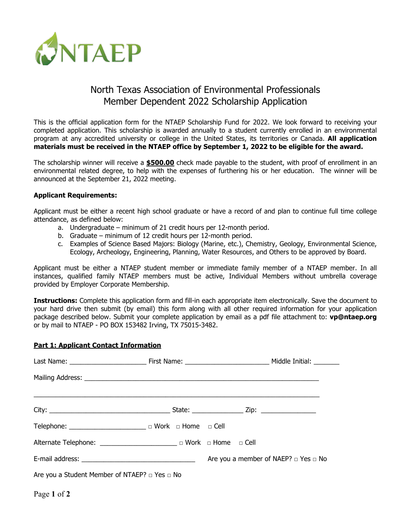

# North Texas Association of Environmental Professionals Member Dependent 2022 Scholarship Application

This is the official application form for the NTAEP Scholarship Fund for 2022. We look forward to receiving your completed application. This scholarship is awarded annually to a student currently enrolled in an environmental program at any accredited university or college in the United States, its territories or Canada. **All application materials must be received in the NTAEP office by September 1, 2022 to be eligible for the award.**

The scholarship winner will receive a **\$500.00** check made payable to the student, with proof of enrollment in an environmental related degree, to help with the expenses of furthering his or her education. The winner will be announced at the September 21, 2022 meeting.

#### **Applicant Requirements:**

Applicant must be either a recent high school graduate or have a record of and plan to continue full time college attendance, as defined below:

- a. Undergraduate minimum of 21 credit hours per 12-month period.
- b. Graduate minimum of 12 credit hours per 12-month period.
- c. Examples of Science Based Majors: Biology (Marine, etc.), Chemistry, Geology, Environmental Science, Ecology, Archeology, Engineering, Planning, Water Resources, and Others to be approved by Board.

Applicant must be either a NTAEP student member or immediate family member of a NTAEP member. In all instances, qualified family NTAEP members must be active, Individual Members without umbrella coverage provided by Employer Corporate Membership.

**Instructions:** Complete this application form and fill-in each appropriate item electronically. Save the document to your hard drive then submit (by email) this form along with all other required information for your application package described below. Submit your complete application by email as a pdf file attachment to: **vp@ntaep.org** or by mail to NTAEP - PO BOX 153482 Irving, TX 75015-3482.

## **Part 1: Applicant Contact Information**

| Telephone: __________________________________ □ Work □ Home □ Cell |  |                                                |
|--------------------------------------------------------------------|--|------------------------------------------------|
| Alternate Telephone: ________________________ □ Work □ Home □ Cell |  |                                                |
|                                                                    |  | Are you a member of NAEP? $\Box$ Yes $\Box$ No |
| Are you a Student Member of NTAEP? $\Box$ Yes $\Box$ No            |  |                                                |

Page **1** of **2**